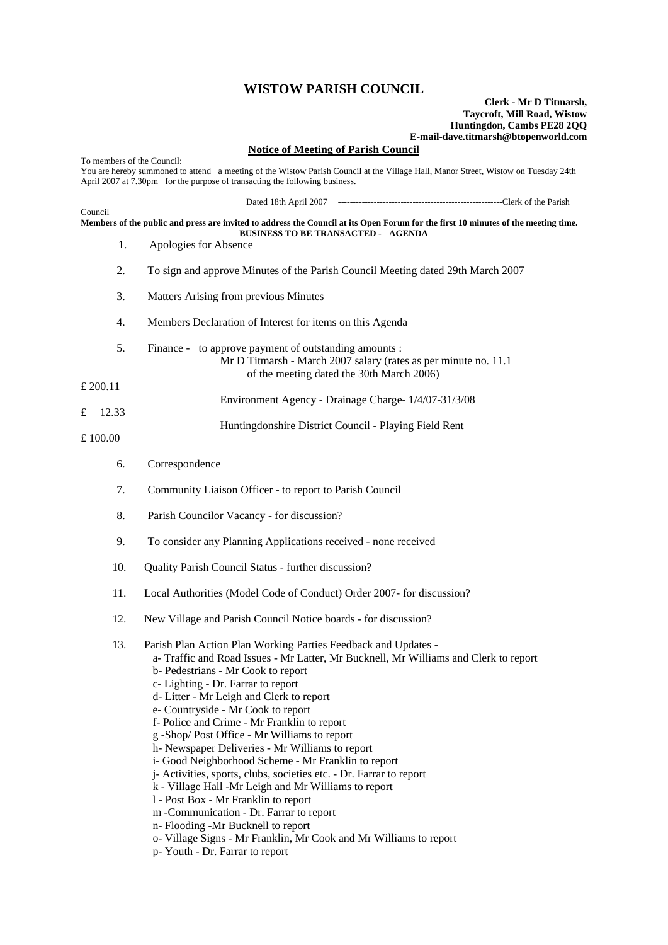## **WISTOW PARISH COUNCIL**

## **Clerk - Mr D Titmarsh, Taycroft, Mill Road, Wistow Huntingdon, Cambs PE28 2QQ E-mail-dave.titmarsh@btopenworld.com**

**Notice of Meeting of Parish Council** To members of the Council: You are hereby summoned to attend a meeting of the Wistow Parish Council at the Village Hall, Manor Street, Wistow on Tuesday 24th April 2007 at 7.30pm for the purpose of transacting the following business. Dated 18th April 2007 -------------------------------------------------------Clerk of the Parish Council **Members of the public and press are invited to address the Council at its Open Forum for the first 10 minutes of the meeting time. BUSINESS TO BE TRANSACTED - AGENDA**  1. Apologies for Absence 2. To sign and approve Minutes of the Parish Council Meeting dated 29th March 2007 3. Matters Arising from previous Minutes 4. Members Declaration of Interest for items on this Agenda 5. Finance - to approve payment of outstanding amounts : Mr D Titmarsh - March 2007 salary (rates as per minute no. 11.1 of the meeting dated the 30th March 2006) £ 200.11 Environment Agency - Drainage Charge- 1/4/07-31/3/08 £ 12.33 Huntingdonshire District Council - Playing Field Rent £ 100.00 6. Correspondence 7. Community Liaison Officer - to report to Parish Council 8. Parish Councilor Vacancy - for discussion? 9. To consider any Planning Applications received - none received 10. Quality Parish Council Status - further discussion? 11. Local Authorities (Model Code of Conduct) Order 2007- for discussion? 12. New Village and Parish Council Notice boards - for discussion? 13. Parish Plan Action Plan Working Parties Feedback and Updates a- Traffic and Road Issues - Mr Latter, Mr Bucknell, Mr Williams and Clerk to report b- Pedestrians - Mr Cook to report c- Lighting - Dr. Farrar to report d- Litter - Mr Leigh and Clerk to report e- Countryside - Mr Cook to report f- Police and Crime - Mr Franklin to report g -Shop/ Post Office - Mr Williams to report h- Newspaper Deliveries - Mr Williams to report i- Good Neighborhood Scheme - Mr Franklin to report j- Activities, sports, clubs, societies etc. - Dr. Farrar to report k - Village Hall -Mr Leigh and Mr Williams to report l - Post Box - Mr Franklin to report m -Communication - Dr. Farrar to report n- Flooding -Mr Bucknell to report o- Village Signs - Mr Franklin, Mr Cook and Mr Williams to report p- Youth - Dr. Farrar to report